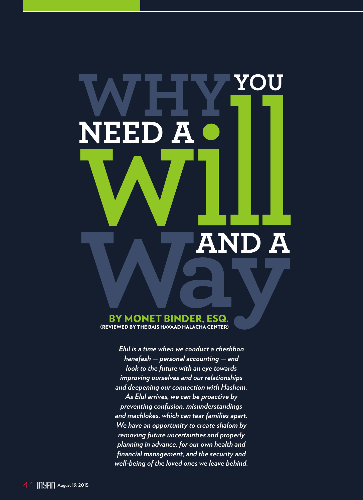## YOU A ЕЕН N D Ä Ä

#### BY MONET BINDER, ESQ. (REVIEWED BY THE BAIS HAVAAD HALACHA CENTER)

*Elul is a time when we conduct a cheshbon hanefesh — personal accounting — and look to the future with an eye towards improving ourselves and our relationships and deepening our connection with Hashem. As Elul arrives, we can be proactive by preventing confusion, misunderstandings and machlokes, which can tear families apart. We have an opportunity to create shalom by removing future uncertainties and properly planning in advance, for our own health and financial management, and the security and well-being of the loved ones we leave behind.*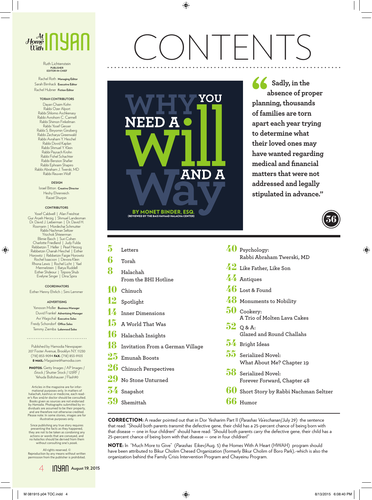

#### Ruth Lichtenstein **PUBLISHER EDITOR-IN-CHIEF**

Rachel Roth **Managing Editor** Sarah Birnhack **Executive Editor** Rachel Hubner **Fiction Editor**

#### **TORAH CONTRIBUTORS**

Dayan Chaim Kohn Rabbi Ozer Alport Rabbi Shlomo Aschkenasy Rabbi Avrohom C. Carmell Rabbi Shimon Finkelman Rabbi Yosef Gesser Rabbi S. Binyomin Ginzberg Rabbi Zecharya Greenwald Rabbi Avraham Y. Heschel Rabbi Dovid Kaplan Rabbi Shmuel Y. Klein Rabbi Paysach Krohn Rabbi Fishel Schachter Rabbi Benzion Shafier Rabbi Ephraim Shapiro Rabbi Abraham J. Twerski, MD Rabbi Reuven Wolf

#### **DESIGN**

Israel Bitton **Creative Director**  Heshy Ehrenreich Raizel Shurpin

#### **CONTRIBUTORS**

Yosef Caldwell | Alan Freishtat Gur Aryeh Herzig | Shmuel Landesman Dr. David J. Lieberman | Dr. David H. Rosmarin | Mordechai Schmutter Rabbi Nachman Seltzer Yitzchok Shteierman Blimie Basch | Suri Cohen Charlotte Friedland | Judy Fulda Rebbetzin T. Heller | Pearl Herzog Rebbetzin Chanah Heschel | Esther Horowitz | Rebbetzin Faigie Horowitz Rochel Isaacson | Devora Klein Rhona Lewis | Rochel Licht | Yael Mermelstein | Batya Ruddell Esther Shdeour | Tzipora Shub Evelyne Singer | Dina Spira

#### **COORDINATORS**

Esther Henny Ehrlich | Simi Lemmer

#### **ADVERTISING**

Yonoson Moller **Business Manager** Duvid Frankel **Advertising Manager** Avi Wagschal **Executive Sales** Freidy Schondorf **Office Sales** Temmy Ziemba **Lakewood Sales**

Published by Hamodia Newspaper: 207 Foster Avenue, Brooklyn N.Y. 11230 (718) 853-9094 FAX: (718) 853-9103 E-MAIL: Magazine@hamodia.com

PHOTOS: Getty Images / AP Images / iStock / Shutter Stock / 123RF / Yehuda Boltshauser / Flash90

Articles in the magazine are for informational purposes only. In matters of halachah, kashrus or medicine, each reader's Rav and/or doctor should be consulted. Books given as sources are not endorsed by *Hamodia.* Photographs submitted by in-dividuals are assumed to be their property, and are therefore not otherwise credited. Please note: In some stories, images are for illustrative purposes only.

Since publishing any true story requires presenting the facts as they happened, they are not to be taken as condoning any actions or words that are conveyed, and no *halachos* should be derived from them without consulting one's *posek*.

All rights reserved. © Reproduction by any means without written permission from the publisher is prohibited.

# CONTENTS



**Sadly, in the absence of proper planning, thousands of families are torn apart each year trying to determine what their loved ones may have wanted regarding medical and financial matters that were not addressed and legally stipulated in advance."**



CORRECTION: A reader pointed out that in Dor Yesharim Part II (*Parashas Va'eschanan*/July 29) the sentence that read: "Should both parents *transmit* the defective gene, their child has a 25-percent chance of being born with that disease — one in four children!" should have read: "Should both parents *carry* the defective gene, their child has a 25-percent chance of being born with that disease — one in four children!"

NOTE: In "Much More to Give" (*Parashas* Eikev/Aug. 5) the Homes With A Heart (HWAH) program should have been attributed to Bikur Cholim Chesed Organization (formerly Bikur Cholim of Boro Park),-which is also the organization behind the Family Crisis Intervention Program and Chayeinu Program.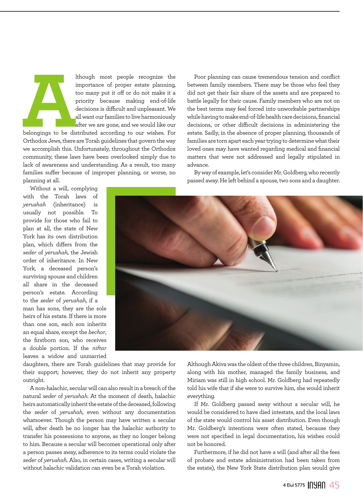It hough most people recognize the<br>importance of proper estate planning,<br>too many put it off or do not make it a<br>priority because making end-of-life<br>decisions is difficult and unpleasant. We<br>all want our families to live h importance of proper estate planning, too many put it off or do not make it a priority because making end-of-life decisions is difficult and unpleasant. We all want our families to live harmoniously after we are gone, and we would like our

belongings to be distributed according to our wishes. For Orthodox Jews, there are Torah guidelines that govern the way we accomplish this. Unfortunately, throughout the Orthodox community, these laws have been overlooked simply due to lack of awareness and understanding. As a result, too many families suffer because of improper planning, or worse, no planning at all.

Without a will, complying with the Torah laws of *yerushah* (inheritance) is usually not possible. To provide for those who fail to plan at all, the state of New York has its own distribution plan, which differs from the *seder* of *yerushah,* the Jewish order of inheritance. In New York, a deceased person's surviving spouse and children all share in the deceased person's estate. According to the *seder* of *yerushah,* if a man has sons, they are the sole heirs of his estate. If there is more than one son, each son inherits an equal share, except the *bechor*, the firstborn son, who receives a double portion. If the *niftar*  leaves a widow and unmarried

advance.

daughters, there are Torah guidelines that may provide for their support; however, they do not inherit any property outright.

A non-halachic, secular will can also result in a breach of the natural *seder* of *yerushah.* At the moment of death, halachic heirs automatically inherit the estate of the deceased, following the *seder* of *yerushah,* even without any documentation whatsoever. Though the person may have written a secular will, after death he no longer has the halachic authority to transfer his possessions to anyone, as they no longer belong to him. Because a secular will becomes operational only after a person passes away, adherence to its terms could violate the *seder* of *yerushah.* Also, in certain cases, writing a secular will without halachic validation can even be a Torah violation.

Although Akiva was the oldest of the three children, Binyamin, along with his mother, managed the family business, and Miriam was still in high school. Mr. Goldberg had repeatedly told his wife that if she were to survive him, she would inherit everything.

Poor planning can cause tremendous tension and conflict between family members. There may be those who feel they did not get their fair share of the assets and are prepared to battle legally for their cause. Family members who are not on the best terms may feel forced into unworkable partnerships while having to make end-of-life health care decisions, financial decisions, or other difficult decisions in administering the estate. Sadly, in the absence of proper planning, thousands of families are torn apart each year trying to determine what their loved ones may have wanted regarding medical and financial matters that were not addressed and legally stipulated in

By way of example, let's consider Mr. Goldberg, who recently passed away. He left behind a spouse, two sons and a daughter.

If Mr. Goldberg passed away without a secular will, he would be considered to have died intestate, and the local laws of the state would control his asset distribution. Even though Mr. Goldberg's intentions were often stated, because they were not specified in legal documentation, his wishes could not be honored.

Furthermore, if he did not have a will (and after all the fees of probate and estate administration had been taken from the estate), the New York State distribution plan would give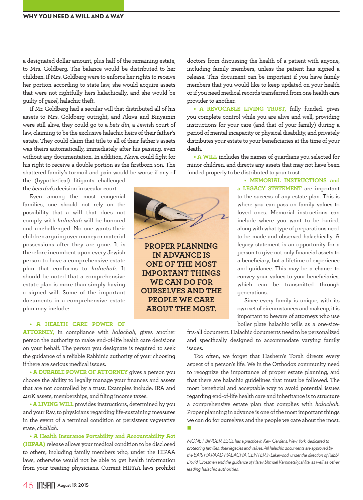a designated dollar amount, plus half of the remaining estate, to Mrs. Goldberg. The balance would be distributed to her children. If Mrs. Goldberg were to enforce her rights to receive her portion according to state law, she would acquire assets that were not rightfully hers halachically*,* and she would be guilty of *gezel*, halachic theft.

If Mr. Goldberg had a secular will that distributed all of his assets to Mrs. Goldberg outright, and Akiva and Binyamin were still alive, they could go to a *beis din*, a Jewish court of law, claiming to be the exclusive halachic heirs of their father's estate. They could claim that title to all of their father's assets was theirs automatically, immediately after his passing, even without any documentation. In addition, Akiva could fight for his right to receive a double portion as the firstborn son. The shattered family's turmoil and pain would be worse if any of

the (hypothetical) litigants challenged the *beis din*'s decision in secular court.

Even among the most congenial families, one should not rely on the possibility that a will that does not comply with *halachah* will be honored and unchallenged. No one wants their children arguing over money or material possessions after they are gone. It is therefore incumbent upon every Jewish person to have a comprehensive estate plan that conforms to *halachah.* It should be noted that a comprehensive estate plan is more than simply having a signed will. Some of the important documents in a comprehensive estate plan may include:

#### **• A HEALTH CARE POWER OF**

**ATTORNEY,** in compliance with *halachah*, gives another person the authority to make end-of-life health care decisions on your behalf. The person you designate is required to seek the guidance of a reliable Rabbinic authority of your choosing if there are serious medical issues.

**• A DURABLE POWER OF ATTORNEY** gives a person you choose the ability to legally manage your finances and assets that are not controlled by a trust. Examples include: IRA and 401K assets, memberships, and filing income taxes.

**• A LIVING WILL** provides instructions, determined by you and your Rav, to physicians regarding life-sustaining measures in the event of a terminal condition or persistent vegetative state, *chalilah*.

**• A Health Insurance Portability and Accountability Act (HIPAA)** release allows your medical condition to be disclosed to others, including family members who, under the HIPAA laws, otherwise would not be able to get health information from your treating physicians. Current HIPAA laws prohibit

doctors from discussing the health of a patient with anyone, including family members, unless the patient has signed a release. This document can be important if you have family members that you would like to keep updated on your health or if you need medical records transferred from one health care provider to another.

**• A REVOCABLE LIVING TRUST,** fully funded, gives you complete control while you are alive and well, providing instructions for your care (and that of your family) during a period of mental incapacity or physical disability, and privately distributes your estate to your beneficiaries at the time of your death.

**• A WILL** includes the names of guardians you selected for minor children, and directs any assets that may not have been funded properly to be distributed to your trust.

> **• MEMORIAL INSTRUCTIONS and a LEGACY STATEMENT** are important to the success of any estate plan. This is where you can pass on family values to loved ones. Memorial instructions can include where you want to be buried, along with what type of preparations need to be made and observed halachically. A legacy statement is an opportunity for a person to give not only financial assets to a beneficiary, but a lifetime of experience and guidance. This may be a chance to convey your values to your beneficiaries, which can be transmitted through generations.

> Since every family is unique, with its own set of circumstances and makeup, it is important to beware of attorneys who use boiler plate halachic wills as a one-size-

fits-all document. Halachic documents need to be personalized and specifically designed to accommodate varying family issues.

Too often, we forget that Hashem's Torah directs every aspect of a person's life. We in the Orthodox community need to recognize the importance of proper estate planning, and that there are halachic guidelines that must be followed. The most beneficial and acceptable way to avoid potential issues regarding end-of-life health care and inheritance is to structure a comprehensive estate plan that complies with *halachah*. Proper planning in advance is one of the most important things we can do for ourselves and the people we care about the most.

П

*MONET BINDER, ESQ., has a practice in Kew Gardens, New York, dedicated to protecting families, their legacies and values. All halachic documents are approved by the BAIS HAVAAD HALACHA CENTER in Lakewood, under the direction of Rabbi Dovid Grossman and the guidance of Harav Shmuel Kaminetsky, shlita, as well as other leading halachic authorities.* 



**PROPER PLANNING IN ADVANCE IS ONE OF THE MOST IMPORTANT THINGS WE CAN DO FOR OURSELVES AND THE PEOPLE WE CARE ABOUT THE MOST.**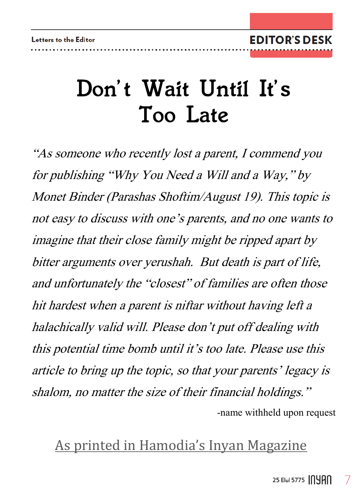## *Don't Wait Until It's Too Late*

"As someone who recently lost a parent, I commend you for publishing "Why You Need a Will and a Way," by Monet Binder (Parashas Shoftim/August 19). This topic is not easy to discuss with one's parents, and no one wants to imagine that their close family might be ripped apart by bitter arguments over yerushah. But death is part of life, and unfortunately the "closest" of families are often those hit hardest when a parent is niftar without having left a halachically valid will. Please don't put off dealing with this potential time bomb until it's too late. Please use this article to bring up the topic, so that your parents' legacy is shalom, no matter the size of their financial holdings." -name withheld upon request

### As printed in Hamodia's Inyan Magazine